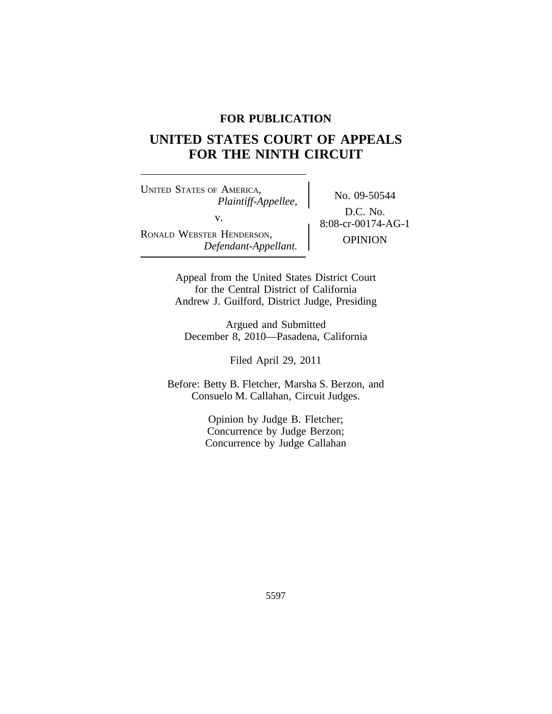# **FOR PUBLICATION**

# **UNITED STATES COURT OF APPEALS FOR THE NINTH CIRCUIT**

<sup>U</sup>NITED STATES OF AMERICA, No. 09-50544 *Plaintiff-Appellee,* v.  $8:08\text{-}cr\text{-}00174\text{-}AG-1$ RONALD WEBSTER HENDERSON, OPINION *Defendant-Appellant.*

D.C. No.

Appeal from the United States District Court for the Central District of California Andrew J. Guilford, District Judge, Presiding

Argued and Submitted December 8, 2010—Pasadena, California

Filed April 29, 2011

Before: Betty B. Fletcher, Marsha S. Berzon, and Consuelo M. Callahan, Circuit Judges.

> Opinion by Judge B. Fletcher; Concurrence by Judge Berzon; Concurrence by Judge Callahan

> > 5597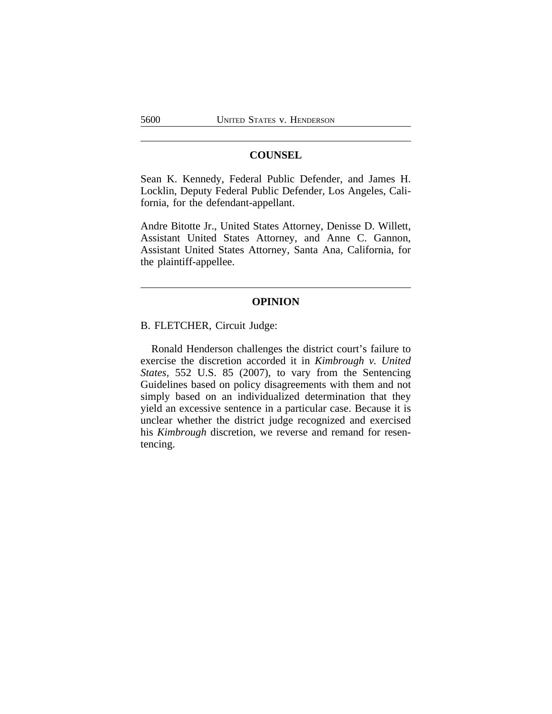### **COUNSEL**

Sean K. Kennedy, Federal Public Defender, and James H. Locklin, Deputy Federal Public Defender, Los Angeles, California, for the defendant-appellant.

Andre Bitotte Jr., United States Attorney, Denisse D. Willett, Assistant United States Attorney, and Anne C. Gannon, Assistant United States Attorney, Santa Ana, California, for the plaintiff-appellee.

# **OPINION**

B. FLETCHER, Circuit Judge:

Ronald Henderson challenges the district court's failure to exercise the discretion accorded it in *Kimbrough v. United States,* 552 U.S. 85 (2007), to vary from the Sentencing Guidelines based on policy disagreements with them and not simply based on an individualized determination that they yield an excessive sentence in a particular case. Because it is unclear whether the district judge recognized and exercised his *Kimbrough* discretion, we reverse and remand for resentencing.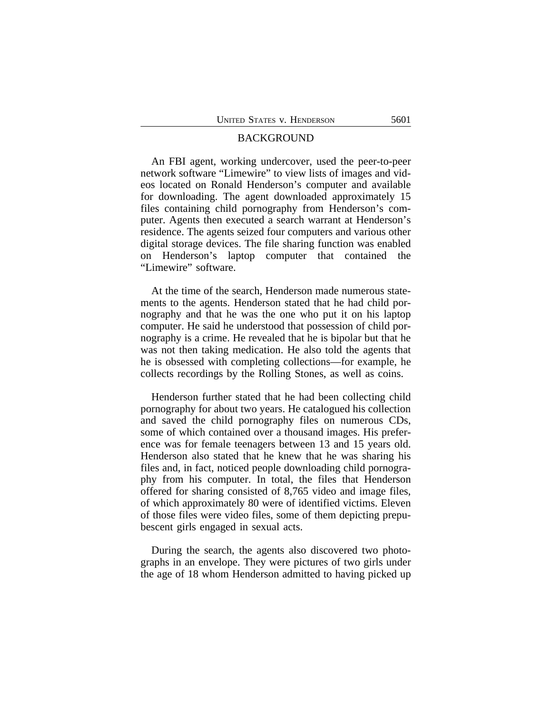#### BACKGROUND

An FBI agent, working undercover, used the peer-to-peer network software "Limewire" to view lists of images and videos located on Ronald Henderson's computer and available for downloading. The agent downloaded approximately 15 files containing child pornography from Henderson's computer. Agents then executed a search warrant at Henderson's residence. The agents seized four computers and various other digital storage devices. The file sharing function was enabled on Henderson's laptop computer that contained the "Limewire" software.

At the time of the search, Henderson made numerous statements to the agents. Henderson stated that he had child pornography and that he was the one who put it on his laptop computer. He said he understood that possession of child pornography is a crime. He revealed that he is bipolar but that he was not then taking medication. He also told the agents that he is obsessed with completing collections—for example, he collects recordings by the Rolling Stones, as well as coins.

Henderson further stated that he had been collecting child pornography for about two years. He catalogued his collection and saved the child pornography files on numerous CDs, some of which contained over a thousand images. His preference was for female teenagers between 13 and 15 years old. Henderson also stated that he knew that he was sharing his files and, in fact, noticed people downloading child pornography from his computer. In total, the files that Henderson offered for sharing consisted of 8,765 video and image files, of which approximately 80 were of identified victims. Eleven of those files were video files, some of them depicting prepubescent girls engaged in sexual acts.

During the search, the agents also discovered two photographs in an envelope. They were pictures of two girls under the age of 18 whom Henderson admitted to having picked up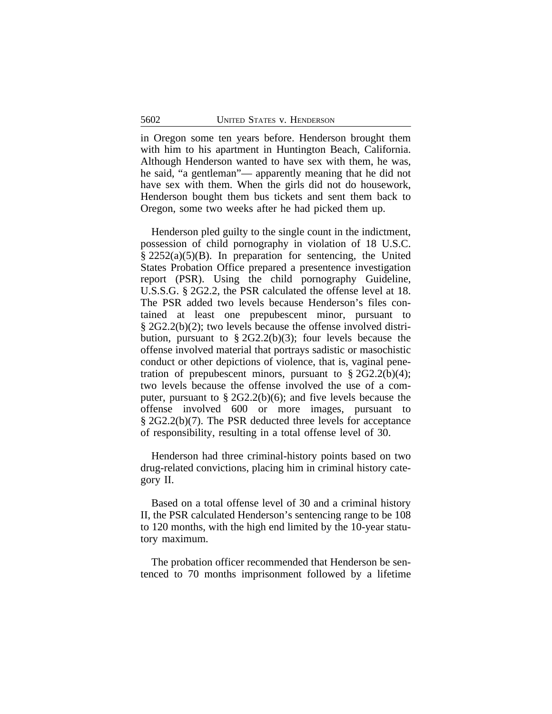in Oregon some ten years before. Henderson brought them with him to his apartment in Huntington Beach, California. Although Henderson wanted to have sex with them, he was, he said, "a gentleman"— apparently meaning that he did not have sex with them. When the girls did not do housework, Henderson bought them bus tickets and sent them back to Oregon, some two weeks after he had picked them up.

Henderson pled guilty to the single count in the indictment, possession of child pornography in violation of 18 U.S.C. § 2252(a)(5)(B). In preparation for sentencing, the United States Probation Office prepared a presentence investigation report (PSR). Using the child pornography Guideline, U.S.S.G. § 2G2.2, the PSR calculated the offense level at 18. The PSR added two levels because Henderson's files contained at least one prepubescent minor, pursuant to § 2G2.2(b)(2); two levels because the offense involved distribution, pursuant to  $\S 2G2.2(b)(3)$ ; four levels because the offense involved material that portrays sadistic or masochistic conduct or other depictions of violence, that is, vaginal penetration of prepubescent minors, pursuant to  $\S 2G2.2(b)(4)$ ; two levels because the offense involved the use of a computer, pursuant to § 2G2.2(b)(6); and five levels because the offense involved 600 or more images, pursuant to § 2G2.2(b)(7). The PSR deducted three levels for acceptance of responsibility, resulting in a total offense level of 30.

Henderson had three criminal-history points based on two drug-related convictions, placing him in criminal history category II.

Based on a total offense level of 30 and a criminal history II, the PSR calculated Henderson's sentencing range to be 108 to 120 months, with the high end limited by the 10-year statutory maximum.

The probation officer recommended that Henderson be sentenced to 70 months imprisonment followed by a lifetime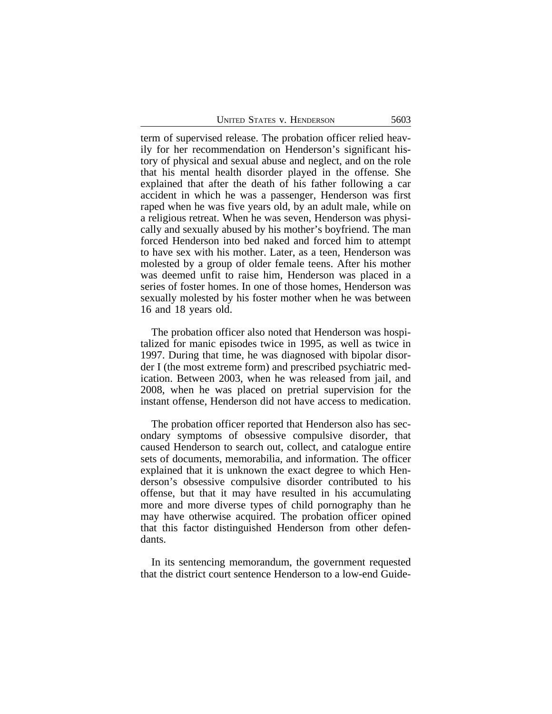| <b>UNITED STATES V. HENDERSON</b> | 5603 |
|-----------------------------------|------|
|                                   |      |

term of supervised release. The probation officer relied heavily for her recommendation on Henderson's significant history of physical and sexual abuse and neglect, and on the role that his mental health disorder played in the offense. She explained that after the death of his father following a car accident in which he was a passenger, Henderson was first raped when he was five years old, by an adult male, while on a religious retreat. When he was seven, Henderson was physically and sexually abused by his mother's boyfriend. The man forced Henderson into bed naked and forced him to attempt to have sex with his mother. Later, as a teen, Henderson was molested by a group of older female teens. After his mother was deemed unfit to raise him, Henderson was placed in a series of foster homes. In one of those homes, Henderson was sexually molested by his foster mother when he was between 16 and 18 years old.

The probation officer also noted that Henderson was hospitalized for manic episodes twice in 1995, as well as twice in 1997. During that time, he was diagnosed with bipolar disorder I (the most extreme form) and prescribed psychiatric medication. Between 2003, when he was released from jail, and 2008, when he was placed on pretrial supervision for the instant offense, Henderson did not have access to medication.

The probation officer reported that Henderson also has secondary symptoms of obsessive compulsive disorder, that caused Henderson to search out, collect, and catalogue entire sets of documents, memorabilia, and information. The officer explained that it is unknown the exact degree to which Henderson's obsessive compulsive disorder contributed to his offense, but that it may have resulted in his accumulating more and more diverse types of child pornography than he may have otherwise acquired. The probation officer opined that this factor distinguished Henderson from other defendants.

In its sentencing memorandum, the government requested that the district court sentence Henderson to a low-end Guide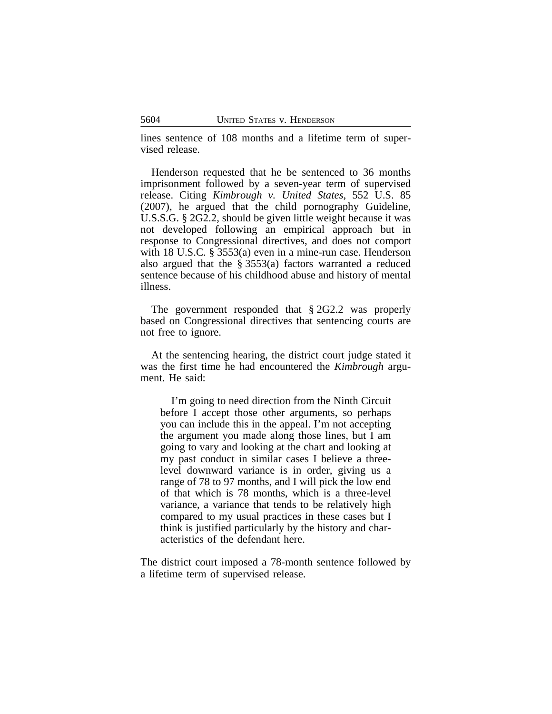lines sentence of 108 months and a lifetime term of supervised release.

Henderson requested that he be sentenced to 36 months imprisonment followed by a seven-year term of supervised release. Citing *Kimbrough v. United States*, 552 U.S. 85 (2007), he argued that the child pornography Guideline, U.S.S.G. § 2G2.2, should be given little weight because it was not developed following an empirical approach but in response to Congressional directives, and does not comport with 18 U.S.C. § 3553(a) even in a mine-run case. Henderson also argued that the § 3553(a) factors warranted a reduced sentence because of his childhood abuse and history of mental illness.

The government responded that § 2G2.2 was properly based on Congressional directives that sentencing courts are not free to ignore.

At the sentencing hearing, the district court judge stated it was the first time he had encountered the *Kimbrough* argument. He said:

I'm going to need direction from the Ninth Circuit before I accept those other arguments, so perhaps you can include this in the appeal. I'm not accepting the argument you made along those lines, but I am going to vary and looking at the chart and looking at my past conduct in similar cases I believe a threelevel downward variance is in order, giving us a range of 78 to 97 months, and I will pick the low end of that which is 78 months, which is a three-level variance, a variance that tends to be relatively high compared to my usual practices in these cases but I think is justified particularly by the history and characteristics of the defendant here.

The district court imposed a 78-month sentence followed by a lifetime term of supervised release.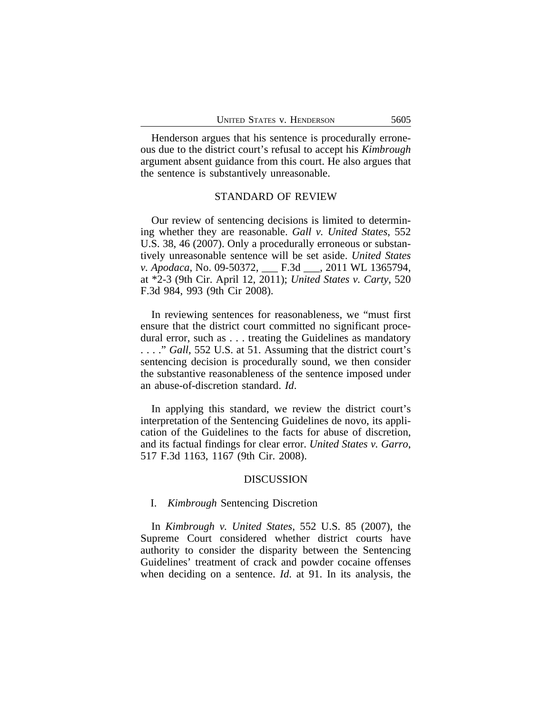Henderson argues that his sentence is procedurally erroneous due to the district court's refusal to accept his *Kimbrough* argument absent guidance from this court. He also argues that the sentence is substantively unreasonable.

#### STANDARD OF REVIEW

Our review of sentencing decisions is limited to determining whether they are reasonable. *Gall v. United States*, 552 U.S. 38, 46 (2007). Only a procedurally erroneous or substantively unreasonable sentence will be set aside. *United States v. Apodaca*, No. 09-50372, \_\_\_ F.3d \_\_\_, 2011 WL 1365794, at \*2-3 (9th Cir. April 12, 2011); *United States v. Carty*, 520 F.3d 984, 993 (9th Cir 2008).

In reviewing sentences for reasonableness, we "must first ensure that the district court committed no significant procedural error, such as . . . treating the Guidelines as mandatory . . . ." *Gall*, 552 U.S. at 51. Assuming that the district court's sentencing decision is procedurally sound, we then consider the substantive reasonableness of the sentence imposed under an abuse-of-discretion standard. *Id*.

In applying this standard, we review the district court's interpretation of the Sentencing Guidelines de novo, its application of the Guidelines to the facts for abuse of discretion, and its factual findings for clear error. *United States v. Garro*, 517 F.3d 1163, 1167 (9th Cir. 2008).

#### DISCUSSION

#### I. *Kimbrough* Sentencing Discretion

In *Kimbrough v. United States*, 552 U.S. 85 (2007), the Supreme Court considered whether district courts have authority to consider the disparity between the Sentencing Guidelines' treatment of crack and powder cocaine offenses when deciding on a sentence. *Id*. at 91. In its analysis, the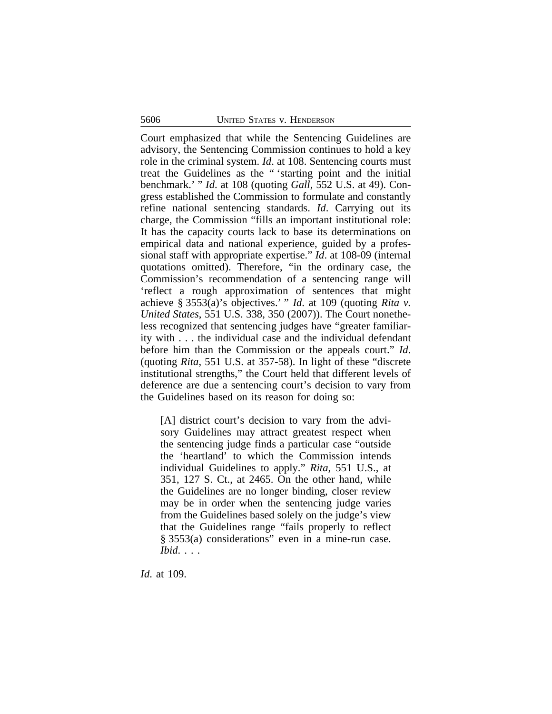Court emphasized that while the Sentencing Guidelines are advisory, the Sentencing Commission continues to hold a key role in the criminal system. *Id*. at 108. Sentencing courts must treat the Guidelines as the " 'starting point and the initial benchmark.' " *Id*. at 108 (quoting *Gall*, 552 U.S. at 49). Congress established the Commission to formulate and constantly refine national sentencing standards. *Id*. Carrying out its charge, the Commission "fills an important institutional role: It has the capacity courts lack to base its determinations on empirical data and national experience, guided by a professional staff with appropriate expertise." *Id*. at 108-09 (internal quotations omitted). Therefore, "in the ordinary case, the Commission's recommendation of a sentencing range will 'reflect a rough approximation of sentences that might achieve § 3553(a)'s objectives.' " *Id*. at 109 (quoting *Rita v. United States*, 551 U.S. 338, 350 (2007)). The Court nonetheless recognized that sentencing judges have "greater familiarity with . . . the individual case and the individual defendant before him than the Commission or the appeals court." *Id*. (quoting *Rita*, 551 U.S. at 357-58). In light of these "discrete institutional strengths," the Court held that different levels of deference are due a sentencing court's decision to vary from the Guidelines based on its reason for doing so:

[A] district court's decision to vary from the advisory Guidelines may attract greatest respect when the sentencing judge finds a particular case "outside the 'heartland' to which the Commission intends individual Guidelines to apply." *Rita*, 551 U.S., at 351, 127 S. Ct., at 2465. On the other hand, while the Guidelines are no longer binding, closer review may be in order when the sentencing judge varies from the Guidelines based solely on the judge's view that the Guidelines range "fails properly to reflect § 3553(a) considerations" even in a mine-run case. *Ibid*. . . .

*Id*. at 109.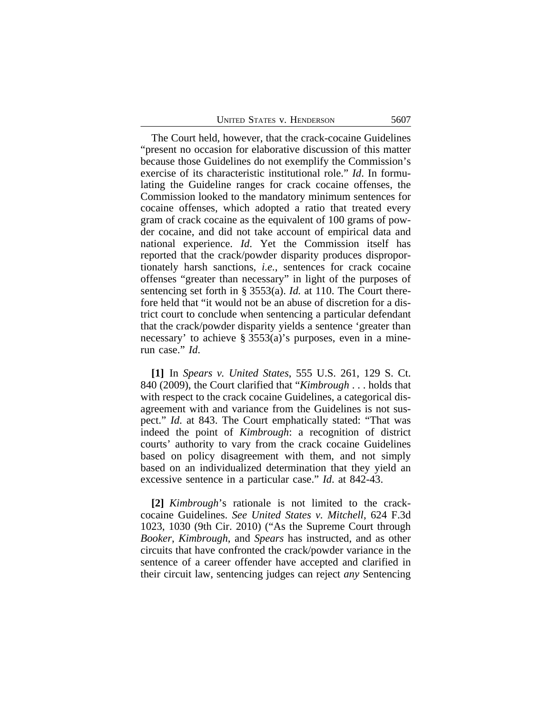| <b>UNITED STATES V. HENDERSON</b> | 5607 |
|-----------------------------------|------|
|-----------------------------------|------|

The Court held, however, that the crack-cocaine Guidelines "present no occasion for elaborative discussion of this matter because those Guidelines do not exemplify the Commission's exercise of its characteristic institutional role." *Id*. In formulating the Guideline ranges for crack cocaine offenses, the Commission looked to the mandatory minimum sentences for cocaine offenses, which adopted a ratio that treated every gram of crack cocaine as the equivalent of 100 grams of powder cocaine, and did not take account of empirical data and national experience. *Id*. Yet the Commission itself has reported that the crack/powder disparity produces disproportionately harsh sanctions, *i.e.*, sentences for crack cocaine offenses "greater than necessary" in light of the purposes of sentencing set forth in § 3553(a). *Id.* at 110. The Court therefore held that "it would not be an abuse of discretion for a district court to conclude when sentencing a particular defendant that the crack/powder disparity yields a sentence 'greater than necessary' to achieve § 3553(a)'s purposes, even in a minerun case." *Id*.

**[1]** In *Spears v. United States*, 555 U.S. 261, 129 S. Ct. 840 (2009), the Court clarified that "*Kimbrough* . . . holds that with respect to the crack cocaine Guidelines, a categorical disagreement with and variance from the Guidelines is not suspect." *Id*. at 843. The Court emphatically stated: "That was indeed the point of *Kimbrough*: a recognition of district courts' authority to vary from the crack cocaine Guidelines based on policy disagreement with them, and not simply based on an individualized determination that they yield an excessive sentence in a particular case." *Id*. at 842-43.

**[2]** *Kimbrough*'s rationale is not limited to the crackcocaine Guidelines. *See United States v. Mitchell*, 624 F.3d 1023, 1030 (9th Cir. 2010) ("As the Supreme Court through *Booker*, *Kimbrough*, and *Spears* has instructed, and as other circuits that have confronted the crack/powder variance in the sentence of a career offender have accepted and clarified in their circuit law, sentencing judges can reject *any* Sentencing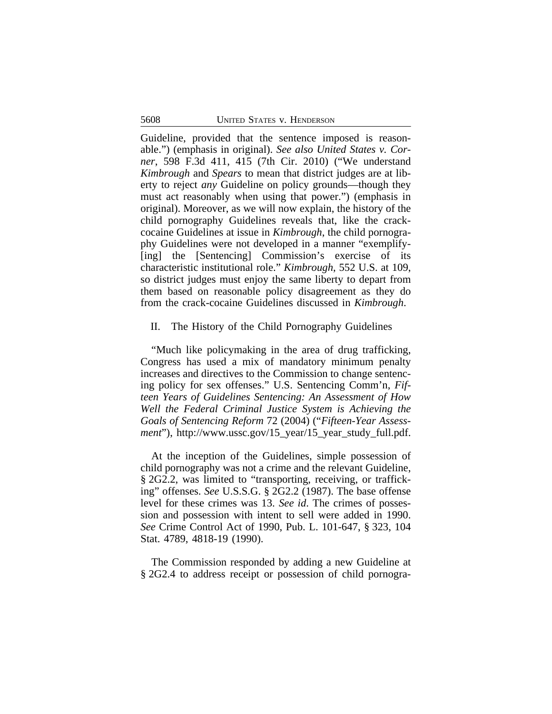Guideline, provided that the sentence imposed is reasonable.") (emphasis in original). *See also United States v. Corner*, 598 F.3d 411, 415 (7th Cir. 2010) ("We understand *Kimbrough* and *Spears* to mean that district judges are at liberty to reject *any* Guideline on policy grounds—though they must act reasonably when using that power.") (emphasis in original). Moreover, as we will now explain, the history of the child pornography Guidelines reveals that, like the crackcocaine Guidelines at issue in *Kimbrough*, the child pornography Guidelines were not developed in a manner "exemplify- [ing] the [Sentencing] Commission's exercise of its characteristic institutional role." *Kimbrough*, 552 U.S. at 109, so district judges must enjoy the same liberty to depart from them based on reasonable policy disagreement as they do from the crack-cocaine Guidelines discussed in *Kimbrough*.

### II. The History of the Child Pornography Guidelines

"Much like policymaking in the area of drug trafficking, Congress has used a mix of mandatory minimum penalty increases and directives to the Commission to change sentencing policy for sex offenses." U.S. Sentencing Comm'n, *Fifteen Years of Guidelines Sentencing: An Assessment of How Well the Federal Criminal Justice System is Achieving the Goals of Sentencing Reform* 72 (2004) ("*Fifteen-Year Assessment*"), http://www.ussc.gov/15 year/15 year study full.pdf.

At the inception of the Guidelines, simple possession of child pornography was not a crime and the relevant Guideline, § 2G2.2, was limited to "transporting, receiving, or trafficking" offenses. *See* U.S.S.G. § 2G2.2 (1987). The base offense level for these crimes was 13. *See id*. The crimes of possession and possession with intent to sell were added in 1990. *See* Crime Control Act of 1990, Pub. L. 101-647, § 323, 104 Stat. 4789, 4818-19 (1990).

The Commission responded by adding a new Guideline at § 2G2.4 to address receipt or possession of child pornogra-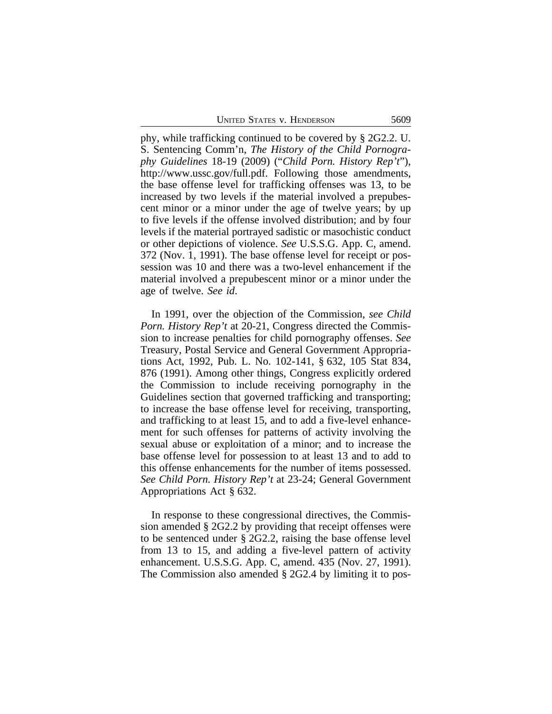UNITED STATES V. HENDERSON 5609

phy, while trafficking continued to be covered by § 2G2.2. U. S. Sentencing Comm'n, *The History of the Child Pornography Guidelines* 18-19 (2009) ("*Child Porn. History Rep't*"), http://www.ussc.gov/full.pdf. Following those amendments, the base offense level for trafficking offenses was 13, to be increased by two levels if the material involved a prepubescent minor or a minor under the age of twelve years; by up to five levels if the offense involved distribution; and by four levels if the material portrayed sadistic or masochistic conduct or other depictions of violence. *See* U.S.S.G. App. C, amend. 372 (Nov. 1, 1991). The base offense level for receipt or possession was 10 and there was a two-level enhancement if the material involved a prepubescent minor or a minor under the age of twelve. *See id*.

In 1991, over the objection of the Commission, *see Child Porn. History Rep't* at 20-21, Congress directed the Commission to increase penalties for child pornography offenses. *See* Treasury, Postal Service and General Government Appropriations Act, 1992, Pub. L. No. 102-141, § 632, 105 Stat 834, 876 (1991). Among other things, Congress explicitly ordered the Commission to include receiving pornography in the Guidelines section that governed trafficking and transporting; to increase the base offense level for receiving, transporting, and trafficking to at least 15, and to add a five-level enhancement for such offenses for patterns of activity involving the sexual abuse or exploitation of a minor; and to increase the base offense level for possession to at least 13 and to add to this offense enhancements for the number of items possessed. *See Child Porn. History Rep't* at 23-24; General Government Appropriations Act § 632.

In response to these congressional directives, the Commission amended § 2G2.2 by providing that receipt offenses were to be sentenced under § 2G2.2, raising the base offense level from 13 to 15, and adding a five-level pattern of activity enhancement. U.S.S.G. App. C, amend. 435 (Nov. 27, 1991). The Commission also amended § 2G2.4 by limiting it to pos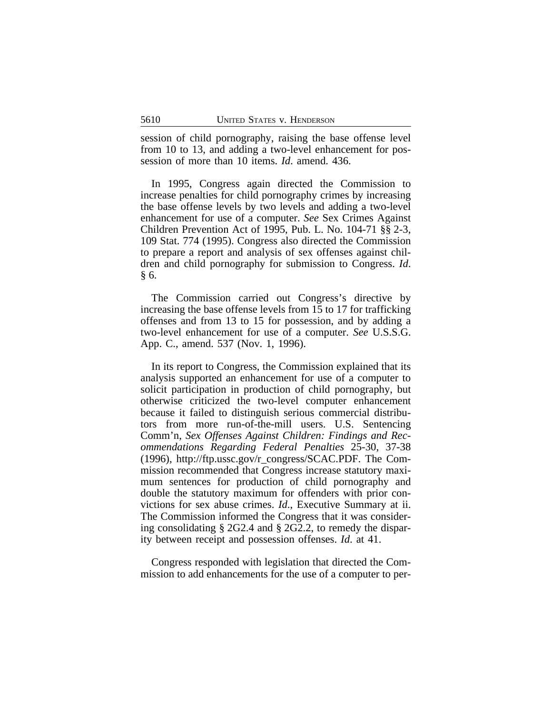session of child pornography, raising the base offense level from 10 to 13, and adding a two-level enhancement for possession of more than 10 items. *Id*. amend. 436.

In 1995, Congress again directed the Commission to increase penalties for child pornography crimes by increasing the base offense levels by two levels and adding a two-level enhancement for use of a computer. *See* Sex Crimes Against Children Prevention Act of 1995, Pub. L. No. 104-71 §§ 2-3, 109 Stat. 774 (1995). Congress also directed the Commission to prepare a report and analysis of sex offenses against children and child pornography for submission to Congress. *Id*. § 6.

The Commission carried out Congress's directive by increasing the base offense levels from 15 to 17 for trafficking offenses and from 13 to 15 for possession, and by adding a two-level enhancement for use of a computer. *See* U.S.S.G. App. C., amend. 537 (Nov. 1, 1996).

In its report to Congress, the Commission explained that its analysis supported an enhancement for use of a computer to solicit participation in production of child pornography, but otherwise criticized the two-level computer enhancement because it failed to distinguish serious commercial distributors from more run-of-the-mill users. U.S. Sentencing Comm'n, *Sex Offenses Against Children: Findings and Recommendations Regarding Federal Penalties* 25-30, 37-38 (1996), http://ftp.ussc.gov/r\_congress/SCAC.PDF. The Commission recommended that Congress increase statutory maximum sentences for production of child pornography and double the statutory maximum for offenders with prior convictions for sex abuse crimes. *Id*., Executive Summary at ii. The Commission informed the Congress that it was considering consolidating § 2G2.4 and § 2G2.2, to remedy the disparity between receipt and possession offenses. *Id*. at 41.

Congress responded with legislation that directed the Commission to add enhancements for the use of a computer to per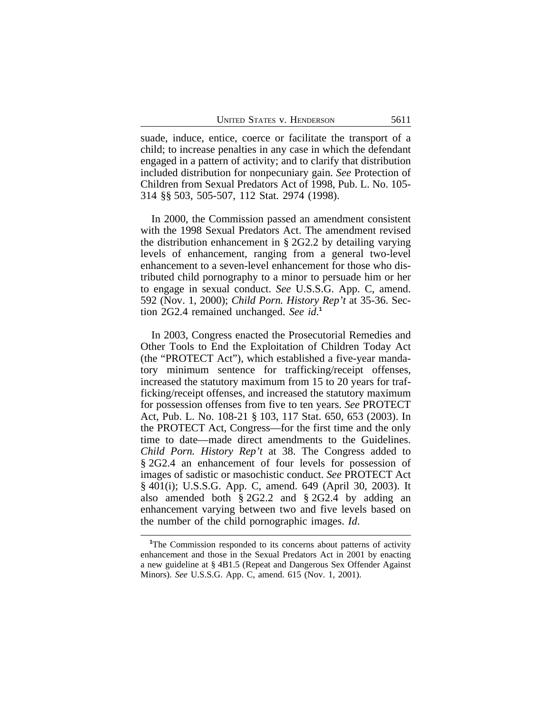suade, induce, entice, coerce or facilitate the transport of a child; to increase penalties in any case in which the defendant engaged in a pattern of activity; and to clarify that distribution included distribution for nonpecuniary gain. *See* Protection of Children from Sexual Predators Act of 1998, Pub. L. No. 105- 314 §§ 503, 505-507, 112 Stat. 2974 (1998).

In 2000, the Commission passed an amendment consistent with the 1998 Sexual Predators Act. The amendment revised the distribution enhancement in § 2G2.2 by detailing varying levels of enhancement, ranging from a general two-level enhancement to a seven-level enhancement for those who distributed child pornography to a minor to persuade him or her to engage in sexual conduct. *See* U.S.S.G. App. C, amend. 592 (Nov. 1, 2000); *Child Porn. History Rep't* at 35-36. Section 2G2.4 remained unchanged. *See id*. **1**

In 2003, Congress enacted the Prosecutorial Remedies and Other Tools to End the Exploitation of Children Today Act (the "PROTECT Act"), which established a five-year mandatory minimum sentence for trafficking/receipt offenses, increased the statutory maximum from 15 to 20 years for trafficking/receipt offenses, and increased the statutory maximum for possession offenses from five to ten years. *See* PROTECT Act, Pub. L. No. 108-21 § 103, 117 Stat. 650, 653 (2003). In the PROTECT Act, Congress—for the first time and the only time to date—made direct amendments to the Guidelines. *Child Porn. History Rep't* at 38. The Congress added to § 2G2.4 an enhancement of four levels for possession of images of sadistic or masochistic conduct. *See* PROTECT Act § 401(i); U.S.S.G. App. C, amend. 649 (April 30, 2003). It also amended both § 2G2.2 and § 2G2.4 by adding an enhancement varying between two and five levels based on the number of the child pornographic images. *Id*.

<sup>&</sup>lt;sup>1</sup>The Commission responded to its concerns about patterns of activity enhancement and those in the Sexual Predators Act in 2001 by enacting a new guideline at § 4B1.5 (Repeat and Dangerous Sex Offender Against Minors). *See* U.S.S.G. App. C, amend. 615 (Nov. 1, 2001).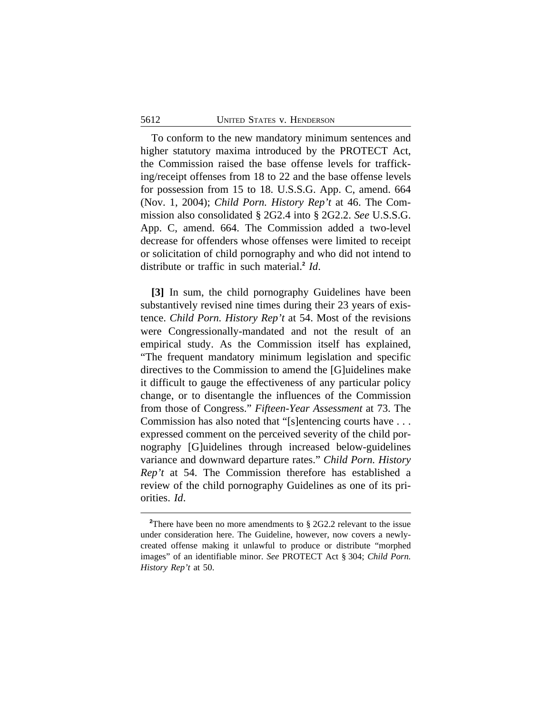To conform to the new mandatory minimum sentences and higher statutory maxima introduced by the PROTECT Act, the Commission raised the base offense levels for trafficking/receipt offenses from 18 to 22 and the base offense levels for possession from 15 to 18. U.S.S.G. App. C, amend. 664 (Nov. 1, 2004); *Child Porn. History Rep't* at 46. The Commission also consolidated § 2G2.4 into § 2G2.2. *See* U.S.S.G. App. C, amend. 664. The Commission added a two-level decrease for offenders whose offenses were limited to receipt or solicitation of child pornography and who did not intend to distribute or traffic in such material.**<sup>2</sup>** *Id*.

**[3]** In sum, the child pornography Guidelines have been substantively revised nine times during their 23 years of existence. *Child Porn. History Rep't* at 54. Most of the revisions were Congressionally-mandated and not the result of an empirical study. As the Commission itself has explained, "The frequent mandatory minimum legislation and specific directives to the Commission to amend the [G]uidelines make it difficult to gauge the effectiveness of any particular policy change, or to disentangle the influences of the Commission from those of Congress." *Fifteen-Year Assessment* at 73. The Commission has also noted that "[s]entencing courts have . . . expressed comment on the perceived severity of the child pornography [G]uidelines through increased below-guidelines variance and downward departure rates." *Child Porn. History Rep't* at 54. The Commission therefore has established a review of the child pornography Guidelines as one of its priorities. *Id*.

<sup>&</sup>lt;sup>2</sup>There have been no more amendments to § 2G2.2 relevant to the issue under consideration here. The Guideline, however, now covers a newlycreated offense making it unlawful to produce or distribute "morphed images" of an identifiable minor. *See* PROTECT Act § 304; *Child Porn. History Rep't* at 50.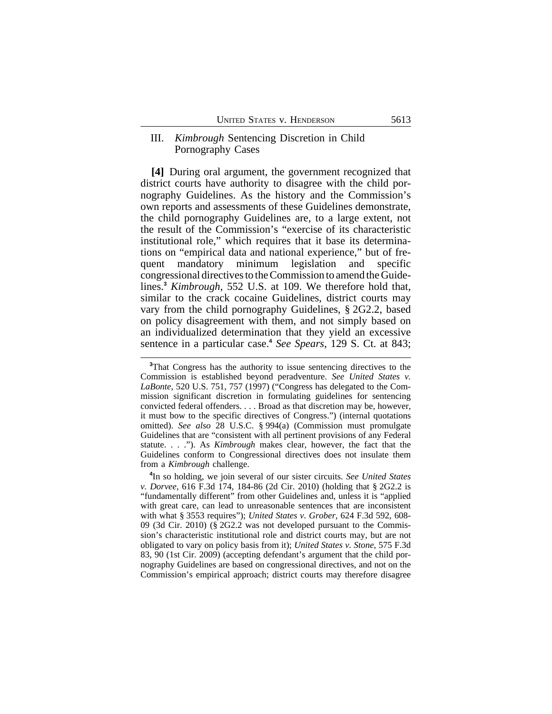### III. *Kimbrough* Sentencing Discretion in Child Pornography Cases

**[4]** During oral argument, the government recognized that district courts have authority to disagree with the child pornography Guidelines. As the history and the Commission's own reports and assessments of these Guidelines demonstrate, the child pornography Guidelines are, to a large extent, not the result of the Commission's "exercise of its characteristic institutional role," which requires that it base its determinations on "empirical data and national experience," but of frequent mandatory minimum legislation and specific congressional directives to the Commission to amend the Guidelines.**<sup>3</sup>** *Kimbrough*, 552 U.S. at 109. We therefore hold that, similar to the crack cocaine Guidelines, district courts may vary from the child pornography Guidelines, § 2G2.2, based on policy disagreement with them, and not simply based on an individualized determination that they yield an excessive sentence in a particular case.**<sup>4</sup>** *See Spears*, 129 S. Ct. at 843;

**4** In so holding, we join several of our sister circuits. *See United States v. Dorvee*, 616 F.3d 174, 184-86 (2d Cir. 2010) (holding that § 2G2.2 is "fundamentally different" from other Guidelines and, unless it is "applied with great care, can lead to unreasonable sentences that are inconsistent with what § 3553 requires"); *United States v. Grober*, 624 F.3d 592, 608- 09 (3d Cir. 2010) (§ 2G2.2 was not developed pursuant to the Commission's characteristic institutional role and district courts may, but are not obligated to vary on policy basis from it); *United States v. Stone*, 575 F.3d 83, 90 (1st Cir. 2009) (accepting defendant's argument that the child pornography Guidelines are based on congressional directives, and not on the Commission's empirical approach; district courts may therefore disagree

**<sup>3</sup>**That Congress has the authority to issue sentencing directives to the Commission is established beyond peradventure. *See United States v. LaBonte*, 520 U.S. 751, 757 (1997) ("Congress has delegated to the Commission significant discretion in formulating guidelines for sentencing convicted federal offenders. . . . Broad as that discretion may be, however, it must bow to the specific directives of Congress.") (internal quotations omitted). *See also* 28 U.S.C. § 994(a) (Commission must promulgate Guidelines that are "consistent with all pertinent provisions of any Federal statute. . . ."). As *Kimbrough* makes clear, however, the fact that the Guidelines conform to Congressional directives does not insulate them from a *Kimbrough* challenge.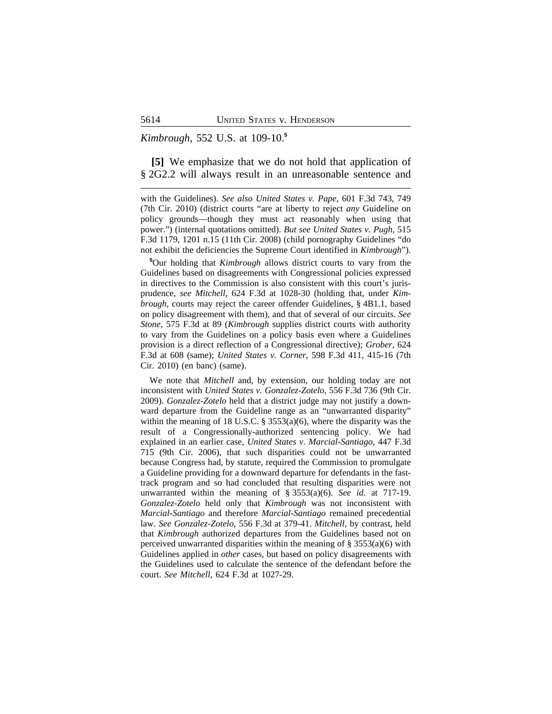#### *Kimbrough*, 552 U.S. at 109-10.**<sup>5</sup>**

**[5]** We emphasize that we do not hold that application of § 2G2.2 will always result in an unreasonable sentence and

with the Guidelines). *See also United States v. Pape*, 601 F.3d 743, 749 (7th Cir. 2010) (district courts "are at liberty to reject *any* Guideline on policy grounds—though they must act reasonably when using that power.") (internal quotations omitted). *But see United States v. Pugh*, 515 F.3d 1179, 1201 n.15 (11th Cir. 2008) (child pornography Guidelines "do not exhibit the deficiencies the Supreme Court identified in *Kimbrough*").

**<sup>5</sup>**Our holding that *Kimbrough* allows district courts to vary from the Guidelines based on disagreements with Congressional policies expressed in directives to the Commission is also consistent with this court's jurisprudence, *see Mitchell*, 624 F.3d at 1028-30 (holding that, under *Kimbrough*, courts may reject the career offender Guidelines, § 4B1.1, based on policy disagreement with them), and that of several of our circuits. *See Stone*, 575 F.3d at 89 (*Kimbrough* supplies district courts with authority to vary from the Guidelines on a policy basis even where a Guidelines provision is a direct reflection of a Congressional directive); *Grober*, 624 F.3d at 608 (same); *United States v. Corner*, 598 F.3d 411, 415-16 (7th Cir. 2010) (en banc) (same).

We note that *Mitchell* and, by extension, our holding today are not inconsistent with *United States v. Gonzalez-Zotelo*, 556 F.3d 736 (9th Cir. 2009). *Gonzalez-Zotelo* held that a district judge may not justify a downward departure from the Guideline range as an "unwarranted disparity" within the meaning of 18 U.S.C. § 3553(a)(6), where the disparity was the result of a Congressionally-authorized sentencing policy. We had explained in an earlier case, *United States v. Marcial-Santiago*, 447 F.3d 715 (9th Cir. 2006), that such disparities could not be unwarranted because Congress had, by statute, required the Commission to promulgate a Guideline providing for a downward departure for defendants in the fasttrack program and so had concluded that resulting disparities were not unwarranted within the meaning of § 3553(a)(6). *See id.* at 717-19. *Gonzalez-Zotelo* held only that *Kimbrough* was not inconsistent with *Marcial-Santiago* and therefore *Marcial-Santiago* remained precedential law. *See Gonzalez-Zotelo*, 556 F.3d at 379-41. *Mitchell*, by contrast, held that *Kimbrough* authorized departures from the Guidelines based not on perceived unwarranted disparities within the meaning of  $\S 3553(a)(6)$  with Guidelines applied in *other* cases, but based on policy disagreements with the Guidelines used to calculate the sentence of the defendant before the court. *See Mitchell*, 624 F.3d at 1027-29.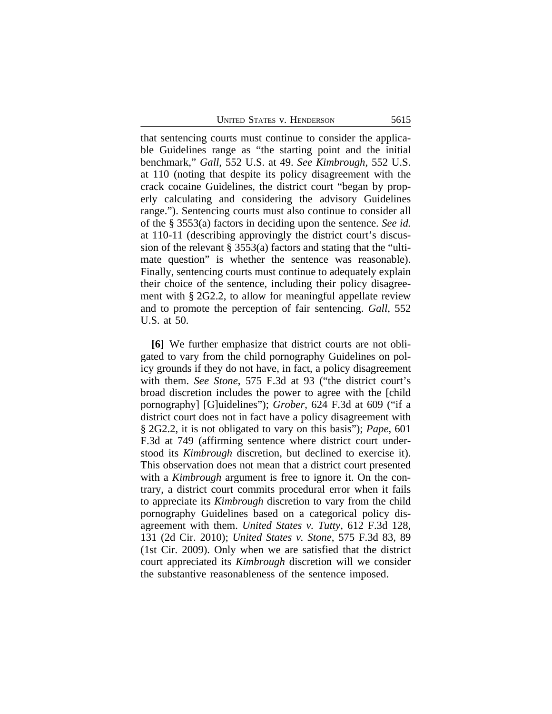UNITED STATES V. HENDERSON 5615

that sentencing courts must continue to consider the applicable Guidelines range as "the starting point and the initial benchmark," *Gall*, 552 U.S. at 49. *See Kimbrough*, 552 U.S. at 110 (noting that despite its policy disagreement with the crack cocaine Guidelines, the district court "began by properly calculating and considering the advisory Guidelines range."). Sentencing courts must also continue to consider all of the § 3553(a) factors in deciding upon the sentence. *See id.* at 110-11 (describing approvingly the district court's discussion of the relevant § 3553(a) factors and stating that the "ultimate question" is whether the sentence was reasonable). Finally, sentencing courts must continue to adequately explain their choice of the sentence, including their policy disagreement with § 2G2.2, to allow for meaningful appellate review and to promote the perception of fair sentencing. *Gall*, 552 U.S. at 50.

**[6]** We further emphasize that district courts are not obligated to vary from the child pornography Guidelines on policy grounds if they do not have, in fact, a policy disagreement with them. *See Stone*, 575 F.3d at 93 ("the district court's broad discretion includes the power to agree with the [child pornography] [G]uidelines"); *Grober*, 624 F.3d at 609 ("if a district court does not in fact have a policy disagreement with § 2G2.2, it is not obligated to vary on this basis"); *Pape*, 601 F.3d at 749 (affirming sentence where district court understood its *Kimbrough* discretion, but declined to exercise it). This observation does not mean that a district court presented with a *Kimbrough* argument is free to ignore it. On the contrary, a district court commits procedural error when it fails to appreciate its *Kimbrough* discretion to vary from the child pornography Guidelines based on a categorical policy disagreement with them. *United States v. Tutty*, 612 F.3d 128, 131 (2d Cir. 2010); *United States v. Stone*, 575 F.3d 83, 89 (1st Cir. 2009). Only when we are satisfied that the district court appreciated its *Kimbrough* discretion will we consider the substantive reasonableness of the sentence imposed.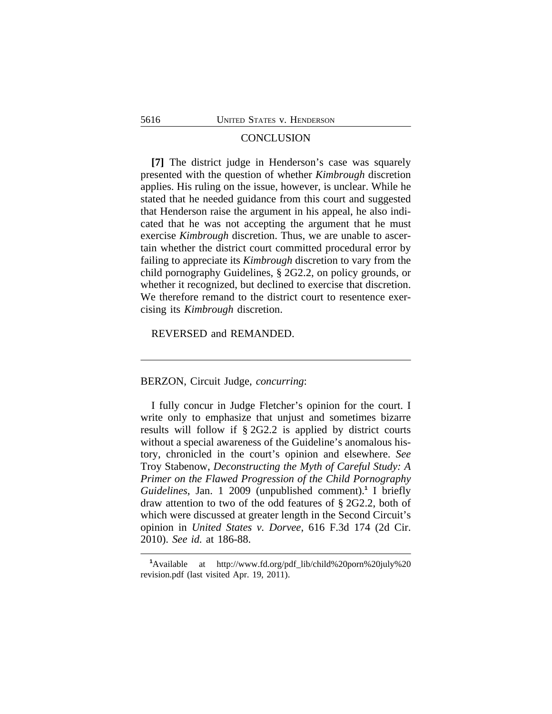### **CONCLUSION**

**[7]** The district judge in Henderson's case was squarely presented with the question of whether *Kimbrough* discretion applies. His ruling on the issue, however, is unclear. While he stated that he needed guidance from this court and suggested that Henderson raise the argument in his appeal, he also indicated that he was not accepting the argument that he must exercise *Kimbrough* discretion. Thus, we are unable to ascertain whether the district court committed procedural error by failing to appreciate its *Kimbrough* discretion to vary from the child pornography Guidelines, § 2G2.2, on policy grounds, or whether it recognized, but declined to exercise that discretion. We therefore remand to the district court to resentence exercising its *Kimbrough* discretion.

REVERSED and REMANDED.

BERZON, Circuit Judge, *concurring*:

I fully concur in Judge Fletcher's opinion for the court. I write only to emphasize that unjust and sometimes bizarre results will follow if § 2G2.2 is applied by district courts without a special awareness of the Guideline's anomalous history, chronicled in the court's opinion and elsewhere. *See* Troy Stabenow, *Deconstructing the Myth of Careful Study: A Primer on the Flawed Progression of the Child Pornography Guidelines*, Jan. 1 2009 (unpublished comment).**<sup>1</sup>** I briefly draw attention to two of the odd features of § 2G2.2, both of which were discussed at greater length in the Second Circuit's opinion in *United States v. Dorvee*, 616 F.3d 174 (2d Cir. 2010). *See id.* at 186-88.

**<sup>1</sup>**Available at http://www.fd.org/pdf\_lib/child%20porn%20july%20 revision.pdf (last visited Apr. 19, 2011).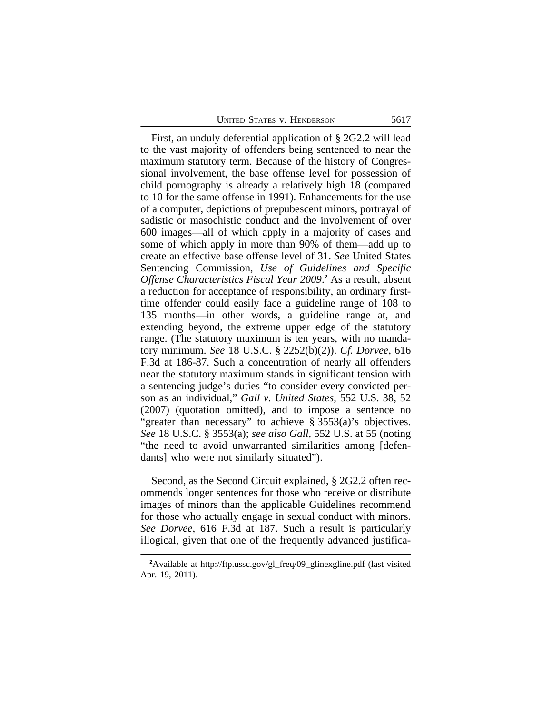First, an unduly deferential application of § 2G2.2 will lead to the vast majority of offenders being sentenced to near the maximum statutory term. Because of the history of Congressional involvement, the base offense level for possession of child pornography is already a relatively high 18 (compared to 10 for the same offense in 1991). Enhancements for the use of a computer, depictions of prepubescent minors, portrayal of sadistic or masochistic conduct and the involvement of over 600 images—all of which apply in a majority of cases and some of which apply in more than 90% of them—add up to create an effective base offense level of 31. *See* United States Sentencing Commission, *Use of Guidelines and Specific* Offense Characteristics Fiscal Year 2009.<sup>2</sup> As a result, absent a reduction for acceptance of responsibility, an ordinary firsttime offender could easily face a guideline range of 108 to 135 months—in other words, a guideline range at, and extending beyond, the extreme upper edge of the statutory range. (The statutory maximum is ten years, with no mandatory minimum. *See* 18 U.S.C. § 2252(b)(2)). *Cf. Dorvee*, 616 F.3d at 186-87. Such a concentration of nearly all offenders near the statutory maximum stands in significant tension with a sentencing judge's duties "to consider every convicted person as an individual," *Gall v. United States*, 552 U.S. 38, 52 (2007) (quotation omitted), and to impose a sentence no "greater than necessary" to achieve § 3553(a)'s objectives. *See* 18 U.S.C. § 3553(a); *see also Gall*, 552 U.S. at 55 (noting "the need to avoid unwarranted similarities among [defendants] who were not similarly situated").

Second, as the Second Circuit explained, § 2G2.2 often recommends longer sentences for those who receive or distribute images of minors than the applicable Guidelines recommend for those who actually engage in sexual conduct with minors. *See Dorvee*, 616 F.3d at 187. Such a result is particularly illogical, given that one of the frequently advanced justifica-

**<sup>2</sup>**Available at http://ftp.ussc.gov/gl\_freq/09\_glinexgline.pdf (last visited Apr. 19, 2011).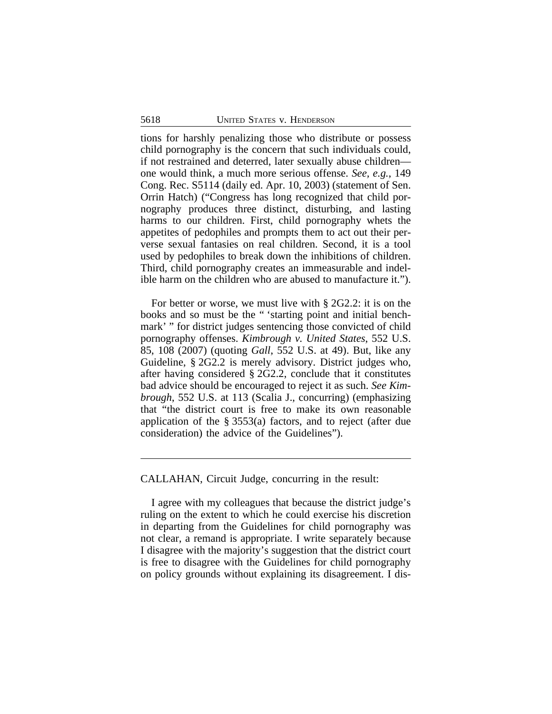tions for harshly penalizing those who distribute or possess child pornography is the concern that such individuals could, if not restrained and deterred, later sexually abuse children one would think, a much more serious offense. *See, e.g.*, 149 Cong. Rec. S5114 (daily ed. Apr. 10, 2003) (statement of Sen. Orrin Hatch) ("Congress has long recognized that child pornography produces three distinct, disturbing, and lasting harms to our children. First, child pornography whets the appetites of pedophiles and prompts them to act out their perverse sexual fantasies on real children. Second, it is a tool used by pedophiles to break down the inhibitions of children. Third, child pornography creates an immeasurable and indelible harm on the children who are abused to manufacture it.").

For better or worse, we must live with § 2G2.2: it is on the books and so must be the " 'starting point and initial benchmark' " for district judges sentencing those convicted of child pornography offenses. *Kimbrough v. United States*, 552 U.S. 85, 108 (2007) (quoting *Gall*, 552 U.S. at 49). But, like any Guideline, § 2G2.2 is merely advisory. District judges who, after having considered § 2G2.2, conclude that it constitutes bad advice should be encouraged to reject it as such. *See Kimbrough*, 552 U.S. at 113 (Scalia J., concurring) (emphasizing that "the district court is free to make its own reasonable application of the § 3553(a) factors, and to reject (after due consideration) the advice of the Guidelines").

CALLAHAN, Circuit Judge, concurring in the result:

I agree with my colleagues that because the district judge's ruling on the extent to which he could exercise his discretion in departing from the Guidelines for child pornography was not clear, a remand is appropriate. I write separately because I disagree with the majority's suggestion that the district court is free to disagree with the Guidelines for child pornography on policy grounds without explaining its disagreement. I dis-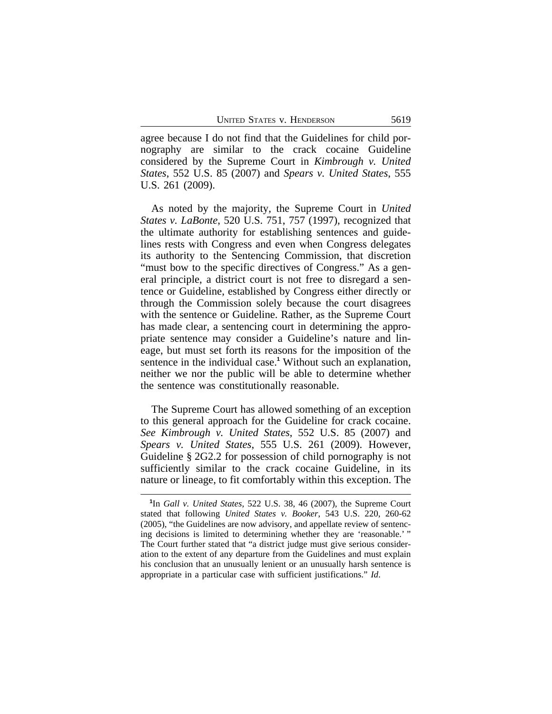agree because I do not find that the Guidelines for child pornography are similar to the crack cocaine Guideline considered by the Supreme Court in *Kimbrough v. United States*, 552 U.S. 85 (2007) and *Spears v. United States*, 555 U.S. 261 (2009).

As noted by the majority, the Supreme Court in *United States v. LaBonte*, 520 U.S. 751, 757 (1997), recognized that the ultimate authority for establishing sentences and guidelines rests with Congress and even when Congress delegates its authority to the Sentencing Commission, that discretion "must bow to the specific directives of Congress." As a general principle, a district court is not free to disregard a sentence or Guideline, established by Congress either directly or through the Commission solely because the court disagrees with the sentence or Guideline. Rather, as the Supreme Court has made clear, a sentencing court in determining the appropriate sentence may consider a Guideline's nature and lineage, but must set forth its reasons for the imposition of the sentence in the individual case.<sup>1</sup> Without such an explanation, neither we nor the public will be able to determine whether the sentence was constitutionally reasonable.

The Supreme Court has allowed something of an exception to this general approach for the Guideline for crack cocaine. *See Kimbrough v. United States*, 552 U.S. 85 (2007) and *Spears v. United States*, 555 U.S. 261 (2009). However, Guideline § 2G2.2 for possession of child pornography is not sufficiently similar to the crack cocaine Guideline, in its nature or lineage, to fit comfortably within this exception. The

**<sup>1</sup>** In *Gall v. United States*, 522 U.S. 38, 46 (2007), the Supreme Court stated that following *United States v. Booker*, 543 U.S. 220, 260-62 (2005), "the Guidelines are now advisory, and appellate review of sentencing decisions is limited to determining whether they are 'reasonable.' " The Court further stated that "a district judge must give serious consideration to the extent of any departure from the Guidelines and must explain his conclusion that an unusually lenient or an unusually harsh sentence is appropriate in a particular case with sufficient justifications." *Id*.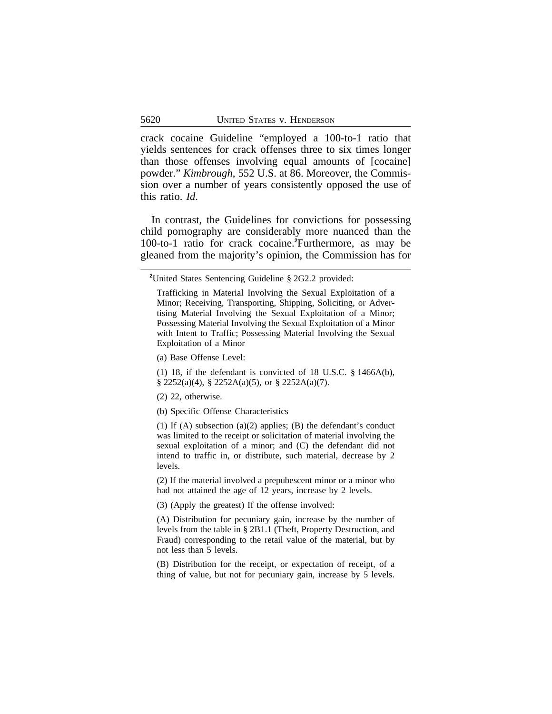crack cocaine Guideline "employed a 100-to-1 ratio that yields sentences for crack offenses three to six times longer than those offenses involving equal amounts of [cocaine] powder." *Kimbrough*, 552 U.S. at 86. Moreover, the Commission over a number of years consistently opposed the use of this ratio. *Id*.

In contrast, the Guidelines for convictions for possessing child pornography are considerably more nuanced than the 100-to-1 ratio for crack cocaine.**<sup>2</sup>**Furthermore, as may be gleaned from the majority's opinion, the Commission has for

(1) 18, if the defendant is convicted of 18 U.S.C. § 1466A(b), § 2252(a)(4), § 2252A(a)(5), or § 2252A(a)(7).

(2) 22, otherwise.

(b) Specific Offense Characteristics

(1) If (A) subsection (a)(2) applies; (B) the defendant's conduct was limited to the receipt or solicitation of material involving the sexual exploitation of a minor; and (C) the defendant did not intend to traffic in, or distribute, such material, decrease by 2 levels.

(2) If the material involved a prepubescent minor or a minor who had not attained the age of 12 years, increase by 2 levels.

(3) (Apply the greatest) If the offense involved:

(A) Distribution for pecuniary gain, increase by the number of levels from the table in § 2B1.1 (Theft, Property Destruction, and Fraud) corresponding to the retail value of the material, but by not less than 5 levels.

(B) Distribution for the receipt, or expectation of receipt, of a thing of value, but not for pecuniary gain, increase by 5 levels.

**<sup>2</sup>**United States Sentencing Guideline § 2G2.2 provided:

Trafficking in Material Involving the Sexual Exploitation of a Minor; Receiving, Transporting, Shipping, Soliciting, or Advertising Material Involving the Sexual Exploitation of a Minor; Possessing Material Involving the Sexual Exploitation of a Minor with Intent to Traffic; Possessing Material Involving the Sexual Exploitation of a Minor

<sup>(</sup>a) Base Offense Level: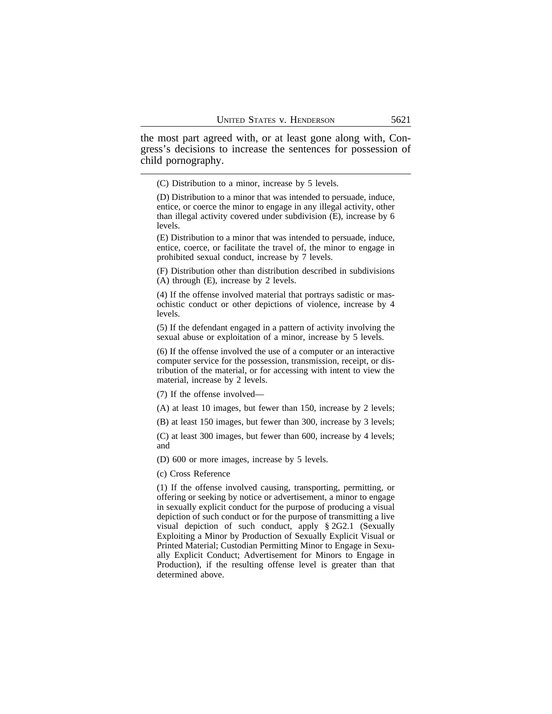the most part agreed with, or at least gone along with, Congress's decisions to increase the sentences for possession of child pornography.

(C) Distribution to a minor, increase by 5 levels.

(D) Distribution to a minor that was intended to persuade, induce, entice, or coerce the minor to engage in any illegal activity, other than illegal activity covered under subdivision (E), increase by 6 levels.

(E) Distribution to a minor that was intended to persuade, induce, entice, coerce, or facilitate the travel of, the minor to engage in prohibited sexual conduct, increase by 7 levels.

(F) Distribution other than distribution described in subdivisions (A) through (E), increase by 2 levels.

(4) If the offense involved material that portrays sadistic or masochistic conduct or other depictions of violence, increase by 4 levels.

(5) If the defendant engaged in a pattern of activity involving the sexual abuse or exploitation of a minor, increase by 5 levels.

(6) If the offense involved the use of a computer or an interactive computer service for the possession, transmission, receipt, or distribution of the material, or for accessing with intent to view the material, increase by 2 levels.

(7) If the offense involved—

(A) at least 10 images, but fewer than 150, increase by 2 levels;

(B) at least 150 images, but fewer than 300, increase by 3 levels;

(C) at least 300 images, but fewer than 600, increase by 4 levels; and

(D) 600 or more images, increase by 5 levels.

(c) Cross Reference

(1) If the offense involved causing, transporting, permitting, or offering or seeking by notice or advertisement, a minor to engage in sexually explicit conduct for the purpose of producing a visual depiction of such conduct or for the purpose of transmitting a live visual depiction of such conduct, apply § 2G2.1 (Sexually Exploiting a Minor by Production of Sexually Explicit Visual or Printed Material; Custodian Permitting Minor to Engage in Sexually Explicit Conduct; Advertisement for Minors to Engage in Production), if the resulting offense level is greater than that determined above.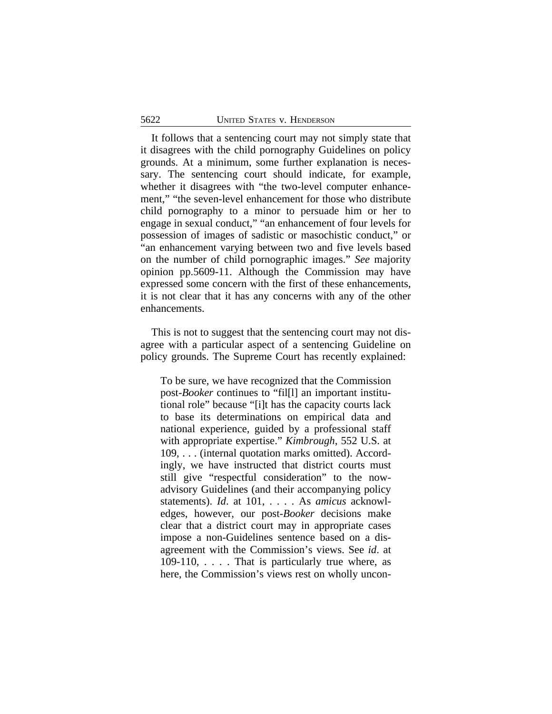It follows that a sentencing court may not simply state that it disagrees with the child pornography Guidelines on policy grounds. At a minimum, some further explanation is necessary. The sentencing court should indicate, for example, whether it disagrees with "the two-level computer enhancement," "the seven-level enhancement for those who distribute child pornography to a minor to persuade him or her to engage in sexual conduct," "an enhancement of four levels for possession of images of sadistic or masochistic conduct," or "an enhancement varying between two and five levels based on the number of child pornographic images." *See* majority opinion pp.5609-11. Although the Commission may have expressed some concern with the first of these enhancements, it is not clear that it has any concerns with any of the other enhancements.

This is not to suggest that the sentencing court may not disagree with a particular aspect of a sentencing Guideline on policy grounds. The Supreme Court has recently explained:

To be sure, we have recognized that the Commission post-*Booker* continues to "fil[l] an important institutional role" because "[i]t has the capacity courts lack to base its determinations on empirical data and national experience, guided by a professional staff with appropriate expertise." *Kimbrough*, 552 U.S. at 109, . . . (internal quotation marks omitted). Accordingly, we have instructed that district courts must still give "respectful consideration" to the nowadvisory Guidelines (and their accompanying policy statements). *Id*. at 101, . . . . As *amicus* acknowledges, however, our post-*Booker* decisions make clear that a district court may in appropriate cases impose a non-Guidelines sentence based on a disagreement with the Commission's views. See *id*. at 109-110, . . . . That is particularly true where, as here, the Commission's views rest on wholly uncon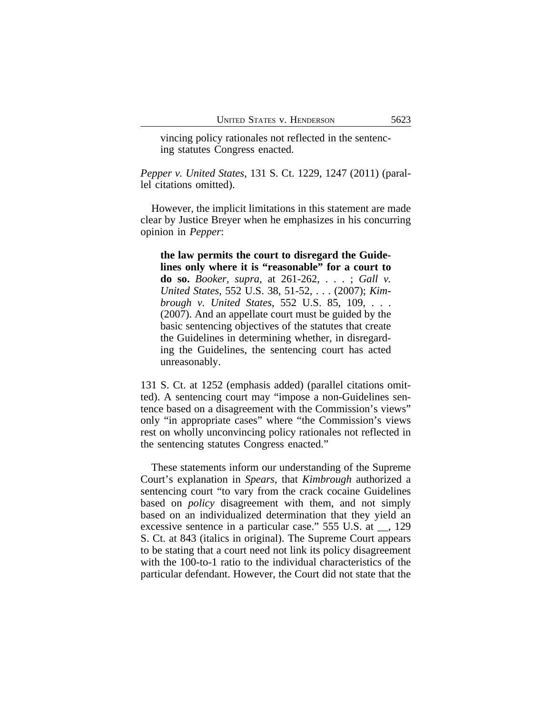vincing policy rationales not reflected in the sentencing statutes Congress enacted.

*Pepper v. United States*, 131 S. Ct. 1229, 1247 (2011) (parallel citations omitted).

However, the implicit limitations in this statement are made clear by Justice Breyer when he emphasizes in his concurring opinion in *Pepper*:

**the law permits the court to disregard the Guidelines only where it is "reasonable" for a court to do so.** *Booker*, *supra*, at 261-262, . . . ; *Gall v. United States*, 552 U.S. 38, 51-52, . . . (2007); *Kimbrough v. United States*, 552 U.S. 85, 109, . . . (2007). And an appellate court must be guided by the basic sentencing objectives of the statutes that create the Guidelines in determining whether, in disregarding the Guidelines, the sentencing court has acted unreasonably.

131 S. Ct. at 1252 (emphasis added) (parallel citations omitted). A sentencing court may "impose a non-Guidelines sentence based on a disagreement with the Commission's views" only "in appropriate cases" where "the Commission's views rest on wholly unconvincing policy rationales not reflected in the sentencing statutes Congress enacted."

These statements inform our understanding of the Supreme Court's explanation in *Spears*, that *Kimbrough* authorized a sentencing court "to vary from the crack cocaine Guidelines based on *policy* disagreement with them, and not simply based on an individualized determination that they yield an excessive sentence in a particular case." 555 U.S. at \_\_, 129 S. Ct. at 843 (italics in original). The Supreme Court appears to be stating that a court need not link its policy disagreement with the 100-to-1 ratio to the individual characteristics of the particular defendant. However, the Court did not state that the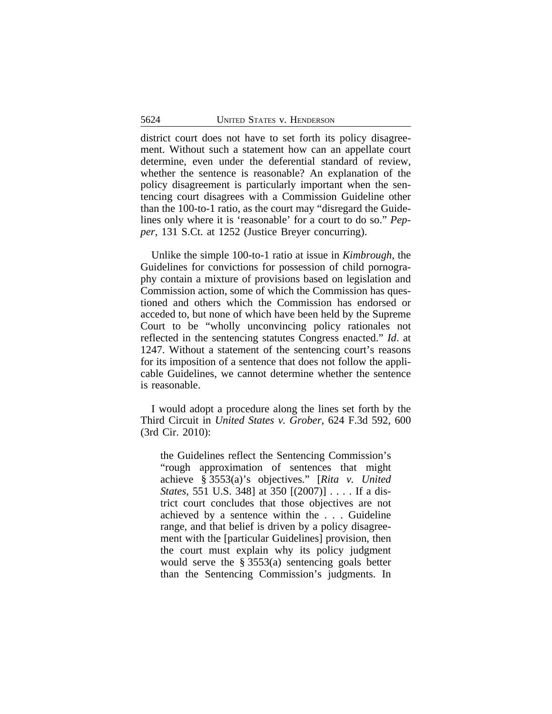district court does not have to set forth its policy disagreement. Without such a statement how can an appellate court determine, even under the deferential standard of review, whether the sentence is reasonable? An explanation of the policy disagreement is particularly important when the sentencing court disagrees with a Commission Guideline other than the 100-to-1 ratio, as the court may "disregard the Guidelines only where it is 'reasonable' for a court to do so." *Pepper*, 131 S.Ct. at 1252 (Justice Breyer concurring).

Unlike the simple 100-to-1 ratio at issue in *Kimbrough*, the Guidelines for convictions for possession of child pornography contain a mixture of provisions based on legislation and Commission action, some of which the Commission has questioned and others which the Commission has endorsed or acceded to, but none of which have been held by the Supreme Court to be "wholly unconvincing policy rationales not reflected in the sentencing statutes Congress enacted." *Id*. at 1247. Without a statement of the sentencing court's reasons for its imposition of a sentence that does not follow the applicable Guidelines, we cannot determine whether the sentence is reasonable.

I would adopt a procedure along the lines set forth by the Third Circuit in *United States v. Grober*, 624 F.3d 592, 600 (3rd Cir. 2010):

the Guidelines reflect the Sentencing Commission's "rough approximation of sentences that might achieve § 3553(a)'s objectives." [*Rita v. United States*, 551 U.S. 348] at 350 [(2007)] . . . . If a district court concludes that those objectives are not achieved by a sentence within the . . . Guideline range, and that belief is driven by a policy disagreement with the [particular Guidelines] provision, then the court must explain why its policy judgment would serve the § 3553(a) sentencing goals better than the Sentencing Commission's judgments. In